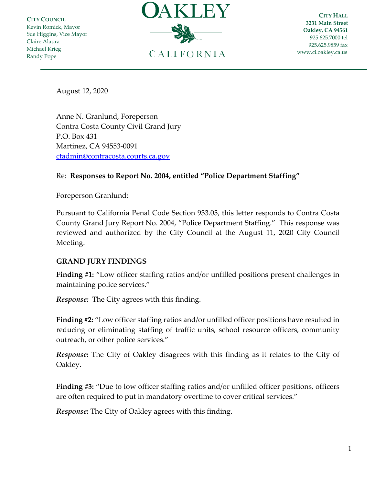**CITY COUNCIL** Kevin Romick, Mayor Sue Higgins, Vice Mayor Claire Alaura Michael Krieg Randy Pope



**CITY HALL 3231 Main Street Oakley, CA 94561** 925.625.7000 tel 925.625.9859 fax [www.ci.oakley.ca.us](http://www.ci.oakley.ca.us/)

August 12, 2020

Anne N. Granlund, Foreperson Contra Costa County Civil Grand Jury P.O. Box 431 Martinez, CA 94553-0091 [ctadmin@contracosta.courts.ca.gov](mailto:ctadmin@contracosta.courts.ca.gov)

## Re: **Responses to Report No. 2004, entitled "Police Department Staffing"**

Foreperson Granlund:

Pursuant to California Penal Code Section 933.05, this letter responds to Contra Costa County Grand Jury Report No. 2004, "Police Department Staffing." This response was reviewed and authorized by the City Council at the August 11, 2020 City Council Meeting.

## **GRAND JURY FINDINGS**

**Finding #1:** "Low officer staffing ratios and/or unfilled positions present challenges in maintaining police services."

*Response:* The City agrees with this finding.

**Finding #2:** "Low officer staffing ratios and/or unfilled officer positions have resulted in reducing or eliminating staffing of traffic units, school resource officers, community outreach, or other police services."

*Response***:** The City of Oakley disagrees with this finding as it relates to the City of Oakley.

**Finding #3:** "Due to low officer staffing ratios and/or unfilled officer positions, officers are often required to put in mandatory overtime to cover critical services."

*Response***:** The City of Oakley agrees with this finding.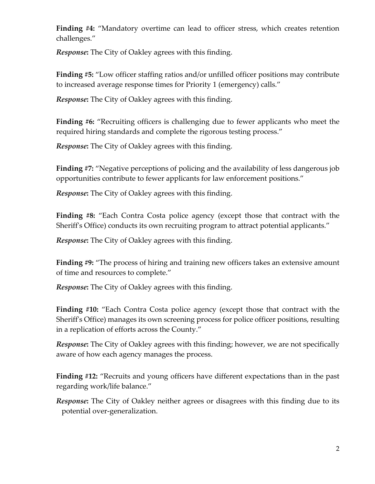**Finding #4:** "Mandatory overtime can lead to officer stress, which creates retention challenges."

*Response***:** The City of Oakley agrees with this finding.

**Finding #5:** "Low officer staffing ratios and/or unfilled officer positions may contribute to increased average response times for Priority 1 (emergency) calls."

*Response***:** The City of Oakley agrees with this finding.

**Finding #6:** "Recruiting officers is challenging due to fewer applicants who meet the required hiring standards and complete the rigorous testing process."

*Response***:** The City of Oakley agrees with this finding.

**Finding #7:** "Negative perceptions of policing and the availability of less dangerous job opportunities contribute to fewer applicants for law enforcement positions."

*Response***:** The City of Oakley agrees with this finding.

**Finding #8:** "Each Contra Costa police agency (except those that contract with the Sheriff's Office) conducts its own recruiting program to attract potential applicants."

*Response***:** The City of Oakley agrees with this finding.

**Finding #9:** "The process of hiring and training new officers takes an extensive amount of time and resources to complete."

*Response***:** The City of Oakley agrees with this finding.

**Finding #10:** "Each Contra Costa police agency (except those that contract with the Sheriff's Office) manages its own screening process for police officer positions, resulting in a replication of efforts across the County."

*Response***:** The City of Oakley agrees with this finding; however, we are not specifically aware of how each agency manages the process.

**Finding #12:** "Recruits and young officers have different expectations than in the past regarding work/life balance."

*Response***:** The City of Oakley neither agrees or disagrees with this finding due to its potential over-generalization.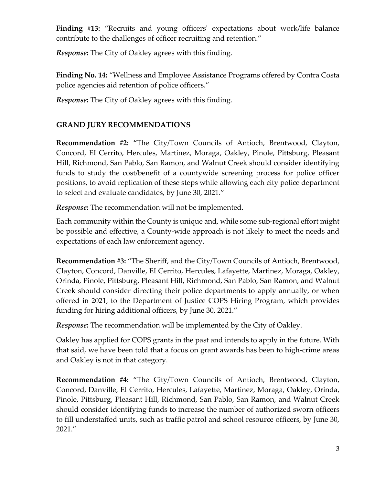**Finding #13:** "Recruits and young officers' expectations about work/life balance contribute to the challenges of officer recruiting and retention."

*Response***:** The City of Oakley agrees with this finding.

**Finding No. 14:** "Wellness and Employee Assistance Programs offered by Contra Costa police agencies aid retention of police officers."

*Response***:** The City of Oakley agrees with this finding.

## **GRAND JURY RECOMMENDATIONS**

**Recommendation #2: "**The City/Town Councils of Antioch, Brentwood, Clayton, Concord, EI Cerrito, Hercules, Martinez, Moraga, Oakley, Pinole, Pittsburg, Pleasant Hill, Richmond, San Pablo, San Ramon, and Walnut Creek should consider identifying funds to study the cost/benefit of a countywide screening process for police officer positions, to avoid replication of these steps while allowing each city police department to select and evaluate candidates, by June 30, 2021."

*Response***:** The recommendation will not be implemented.

Each community within the County is unique and, while some sub-regional effort might be possible and effective, a County-wide approach is not likely to meet the needs and expectations of each law enforcement agency.

**Recommendation #3:** "The Sheriff, and the City/Town Councils of Antioch, Brentwood, Clayton, Concord, Danville, EI Cerrito, Hercules, Lafayette, Martinez, Moraga, Oakley, Orinda, Pinole, Pittsburg, Pleasant Hill, Richmond, San Pablo, San Ramon, and Walnut Creek should consider directing their police departments to apply annually, or when offered in 2021, to the Department of Justice COPS Hiring Program, which provides funding for hiring additional officers, by June 30, 2021."

*Response***:** The recommendation will be implemented by the City of Oakley.

Oakley has applied for COPS grants in the past and intends to apply in the future. With that said, we have been told that a focus on grant awards has been to high-crime areas and Oakley is not in that category.

**Recommendation #4:** "The City/Town Councils of Antioch, Brentwood, Clayton, Concord, Danville, El Cerrito, Hercules, Lafayette, Martinez, Moraga, Oakley, Orinda, Pinole, Pittsburg, Pleasant Hill, Richmond, San Pablo, San Ramon, and Walnut Creek should consider identifying funds to increase the number of authorized sworn officers to fill understaffed units, such as traffic patrol and school resource officers, by June 30, 2021."